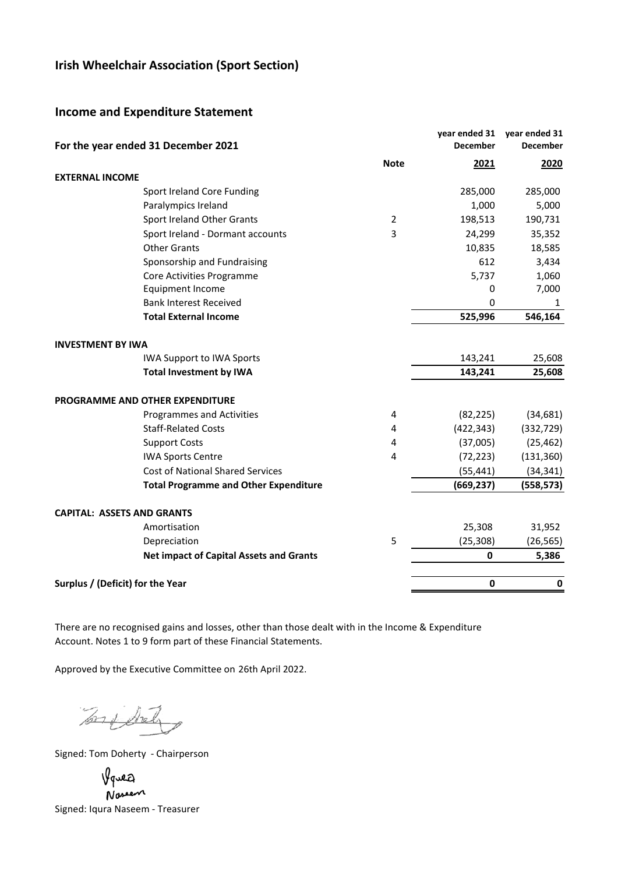# **Irish Wheelchair Association (Sport Section)**

## **Income and Expenditure Statement**

|                                   | For the year ended 31 December 2021            |                | year ended 31<br><b>December</b> | year ended 31<br><b>December</b> |
|-----------------------------------|------------------------------------------------|----------------|----------------------------------|----------------------------------|
|                                   |                                                | <b>Note</b>    | 2021                             | 2020                             |
| <b>EXTERNAL INCOME</b>            |                                                |                |                                  |                                  |
|                                   | Sport Ireland Core Funding                     |                | 285,000                          | 285,000                          |
|                                   | Paralympics Ireland                            |                | 1,000                            | 5,000                            |
|                                   | Sport Ireland Other Grants                     | $\overline{2}$ | 198,513                          | 190,731                          |
|                                   | Sport Ireland - Dormant accounts               | 3              | 24,299                           | 35,352                           |
|                                   | <b>Other Grants</b>                            |                | 10,835                           | 18,585                           |
|                                   | Sponsorship and Fundraising                    |                | 612                              | 3,434                            |
|                                   | Core Activities Programme                      |                | 5,737                            | 1,060                            |
|                                   | Equipment Income                               |                | 0                                | 7,000                            |
|                                   | <b>Bank Interest Received</b>                  |                | 0                                | 1                                |
|                                   | <b>Total External Income</b>                   |                | 525,996                          | 546,164                          |
| <b>INVESTMENT BY IWA</b>          |                                                |                |                                  |                                  |
|                                   | <b>IWA Support to IWA Sports</b>               |                | 143,241                          | 25,608                           |
|                                   | <b>Total Investment by IWA</b>                 |                | 143,241                          | 25,608                           |
|                                   | PROGRAMME AND OTHER EXPENDITURE                |                |                                  |                                  |
|                                   | Programmes and Activities                      | 4              | (82, 225)                        | (34, 681)                        |
|                                   | <b>Staff-Related Costs</b>                     | 4              | (422, 343)                       | (332, 729)                       |
|                                   | <b>Support Costs</b>                           | 4              | (37,005)                         | (25, 462)                        |
|                                   | <b>IWA Sports Centre</b>                       | 4              | (72, 223)                        | (131, 360)                       |
|                                   | <b>Cost of National Shared Services</b>        |                | (55, 441)                        | (34, 341)                        |
|                                   | <b>Total Programme and Other Expenditure</b>   |                | (669, 237)                       | (558, 573)                       |
| <b>CAPITAL: ASSETS AND GRANTS</b> |                                                |                |                                  |                                  |
|                                   | Amortisation                                   |                | 25,308                           | 31,952                           |
|                                   | Depreciation                                   | 5              | (25, 308)                        | (26, 565)                        |
|                                   | <b>Net impact of Capital Assets and Grants</b> |                | $\mathbf{0}$                     | 5,386                            |
| Surplus / (Deficit) for the Year  |                                                |                | $\mathbf 0$                      | 0                                |
|                                   |                                                |                |                                  |                                  |

There are no recognised gains and losses, other than those dealt with in the Income & Expenditure Account. Notes 1 to 9 form part of these Financial Statements.

Approved by the Executive Committee on 26th April 2022.

Tony Street

Signed: Tom Doherty - Chairperson

Vguea

Nosen Signed: Iqura Naseem - Treasurer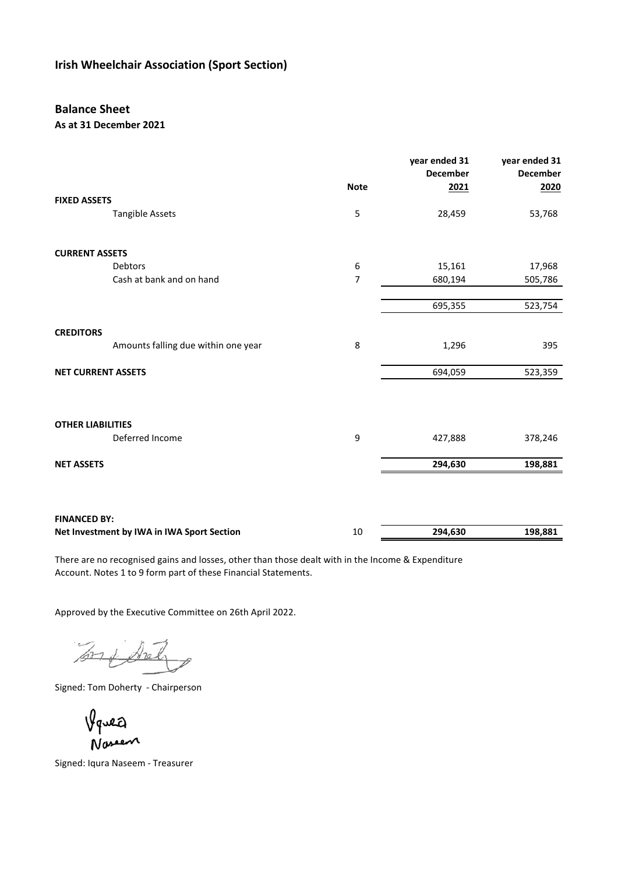# **Irish Wheelchair Association (Sport Section)**

## **Balance Sheet**

### **As at 31 December 2021**

|                                            |                                     | <b>Note</b>      | year ended 31<br><b>December</b><br>2021 | year ended 31<br><b>December</b><br>2020 |
|--------------------------------------------|-------------------------------------|------------------|------------------------------------------|------------------------------------------|
| <b>FIXED ASSETS</b>                        |                                     |                  |                                          |                                          |
| <b>Tangible Assets</b>                     |                                     | 5                | 28,459                                   | 53,768                                   |
| <b>CURRENT ASSETS</b>                      |                                     |                  |                                          |                                          |
| Debtors                                    |                                     | $\boldsymbol{6}$ | 15,161                                   | 17,968                                   |
|                                            | Cash at bank and on hand            | 7                | 680,194                                  | 505,786                                  |
|                                            |                                     |                  |                                          |                                          |
|                                            |                                     |                  | 695,355                                  | 523,754                                  |
| <b>CREDITORS</b>                           |                                     |                  |                                          |                                          |
|                                            | Amounts falling due within one year | 8                | 1,296                                    | 395                                      |
| <b>NET CURRENT ASSETS</b>                  |                                     |                  | 694,059                                  | 523,359                                  |
|                                            |                                     |                  |                                          |                                          |
| <b>OTHER LIABILITIES</b>                   |                                     |                  |                                          |                                          |
| Deferred Income                            |                                     | 9                | 427,888                                  | 378,246                                  |
| <b>NET ASSETS</b>                          |                                     |                  | 294,630                                  | 198,881                                  |
|                                            |                                     |                  |                                          |                                          |
| <b>FINANCED BY:</b>                        |                                     |                  |                                          |                                          |
| Net Investment by IWA in IWA Sport Section |                                     | 10               | 294,630                                  | 198,881                                  |

There are no recognised gains and losses, other than those dealt with in the Income & Expenditure Account. Notes 1 to 9 form part of these Financial Statements.

Approved by the Executive Committee on 26th April 2022.

 $\frac{1}{\sqrt{27}}$ of Sich

Signed: Tom Doherty - Chairperson

Signed: Lisa Kelly - Chairperson …………………………………………………..  $N$ creen

Signed: Iqura Naseem - Treasurer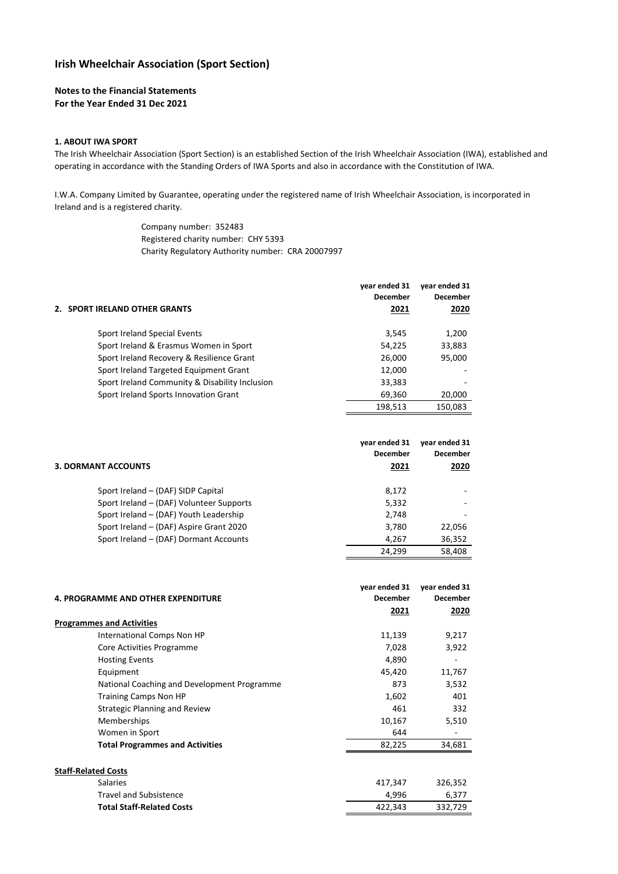### **Irish Wheelchair Association (Sport Section)**

#### **Notes to the Financial Statements For the Year Ended 31 Dec 2021**

#### **1. ABOUT IWA SPORT**

The Irish Wheelchair Association (Sport Section) is an established Section of the Irish Wheelchair Association (IWA), established and operating in accordance with the Standing Orders of IWA Sports and also in accordance with the Constitution of IWA.

I.W.A. Company Limited by Guarantee, operating under the registered name of Irish Wheelchair Association, is incorporated in Ireland and is a registered charity.

> Company number: 352483 Registered charity number: CHY 5393 Charity Regulatory Authority number: CRA 20007997

|                                                | year ended 31<br><b>December</b> | year ended 31<br><b>December</b> |
|------------------------------------------------|----------------------------------|----------------------------------|
| 2. SPORT IRELAND OTHER GRANTS                  | 2021                             | 2020                             |
| Sport Ireland Special Events                   | 3,545                            | 1,200                            |
| Sport Ireland & Erasmus Women in Sport         | 54,225                           | 33,883                           |
| Sport Ireland Recovery & Resilience Grant      | 26,000                           | 95,000                           |
| Sport Ireland Targeted Equipment Grant         | 12,000                           |                                  |
| Sport Ireland Community & Disability Inclusion | 33,383                           |                                  |
| Sport Ireland Sports Innovation Grant          | 69,360                           | 20,000                           |
|                                                | 198.513                          | 150.083                          |

|                                          | year ended 31<br><b>December</b> | year ended 31<br><b>December</b> |
|------------------------------------------|----------------------------------|----------------------------------|
| 3. DORMANT ACCOUNTS                      | 2021                             | 2020                             |
| Sport Ireland - (DAF) SIDP Capital       | 8,172                            |                                  |
| Sport Ireland – (DAF) Volunteer Supports | 5,332                            |                                  |
| Sport Ireland - (DAF) Youth Leadership   | 2,748                            | $\overline{\phantom{a}}$         |
| Sport Ireland - (DAF) Aspire Grant 2020  | 3,780                            | 22,056                           |
| Sport Ireland - (DAF) Dormant Accounts   | 4.267                            | 36,352                           |
|                                          | 24.299                           | 58.408                           |

|                                             | year ended 31   | year ended 31   |
|---------------------------------------------|-----------------|-----------------|
| <b>4. PROGRAMME AND OTHER EXPENDITURE</b>   | <b>December</b> | <b>December</b> |
|                                             | 2021            | 2020            |
| <b>Programmes and Activities</b>            |                 |                 |
| International Comps Non HP                  | 11,139          | 9,217           |
| Core Activities Programme                   | 7,028           | 3,922           |
| <b>Hosting Events</b>                       | 4,890           |                 |
| Equipment                                   | 45,420          | 11,767          |
| National Coaching and Development Programme | 873             | 3,532           |
| <b>Training Camps Non HP</b>                | 1,602           | 401             |
| <b>Strategic Planning and Review</b>        | 461             | 332             |
| Memberships                                 | 10,167          | 5,510           |
| Women in Sport                              | 644             |                 |
| <b>Total Programmes and Activities</b>      | 82,225          | 34,681          |
| <b>Staff-Related Costs</b>                  |                 |                 |
| <b>Salaries</b>                             | 417,347         | 326,352         |
| <b>Travel and Subsistence</b>               | 4,996           | 6,377           |
| <b>Total Staff-Related Costs</b>            | 422,343         | 332,729         |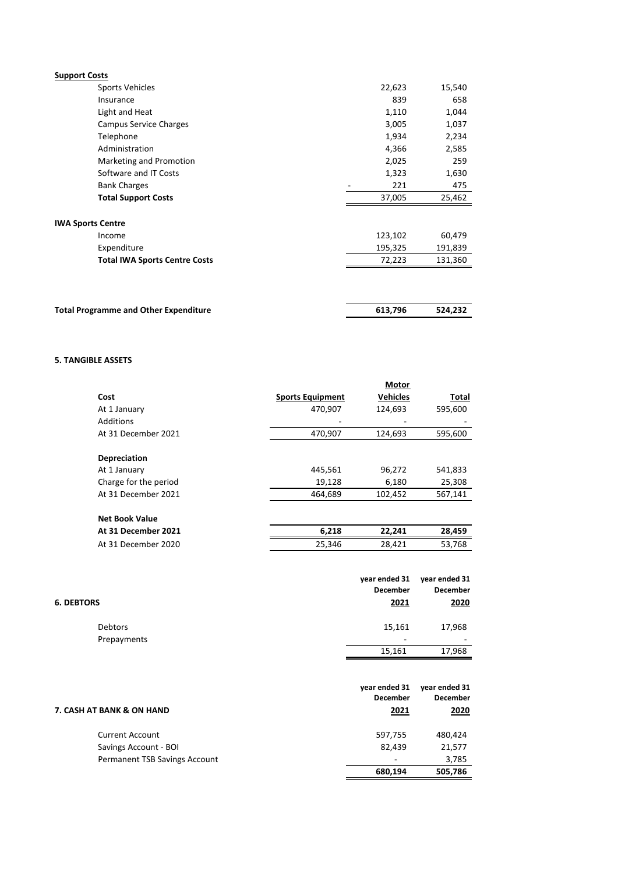| <b>Support Costs</b>                 |         |         |
|--------------------------------------|---------|---------|
| Sports Vehicles                      | 22,623  | 15,540  |
| Insurance                            | 839     | 658     |
| Light and Heat                       | 1,110   | 1,044   |
| <b>Campus Service Charges</b>        | 3,005   | 1,037   |
| Telephone                            | 1,934   | 2,234   |
| Administration                       | 4,366   | 2,585   |
| Marketing and Promotion              | 2,025   | 259     |
| Software and IT Costs                | 1,323   | 1,630   |
| <b>Bank Charges</b>                  | 221     | 475     |
| <b>Total Support Costs</b>           | 37,005  | 25,462  |
| <b>IWA Sports Centre</b>             |         |         |
| Income                               | 123,102 | 60,479  |
| Expenditure                          | 195,325 | 191,839 |
| <b>Total IWA Sports Centre Costs</b> | 72,223  | 131,360 |
|                                      |         |         |
|                                      |         |         |
|                                      |         |         |

| <b>Total Programme and Other Expenditure</b><br>524.232<br>613.796 |  |  |
|--------------------------------------------------------------------|--|--|
|                                                                    |  |  |

### **5. TANGIBLE ASSETS**

|                       |                         | <b>Motor</b>    |              |
|-----------------------|-------------------------|-----------------|--------------|
| Cost                  | <b>Sports Equipment</b> | <b>Vehicles</b> | <b>Total</b> |
| At 1 January          | 470,907                 | 124,693         | 595,600      |
| Additions             |                         |                 |              |
| At 31 December 2021   | 470,907                 | 124,693         | 595,600      |
| Depreciation          |                         |                 |              |
| At 1 January          | 445,561                 | 96,272          | 541,833      |
| Charge for the period | 19,128                  | 6,180           | 25,308       |
| At 31 December 2021   | 464,689                 | 102,452         | 567,141      |
| <b>Net Book Value</b> |                         |                 |              |
| At 31 December 2021   | 6,218                   | 22,241          | 28,459       |
| At 31 December 2020   | 25,346                  | 28,421          | 53,768       |
|                       |                         |                 |              |

| <b>6. DEBTORS</b> | year ended 31<br><b>December</b><br>2021 | year ended 31<br><b>December</b><br>2020 |
|-------------------|------------------------------------------|------------------------------------------|
| Debtors           | 15,161                                   | 17,968                                   |
| Prepayments       | -                                        | $\overline{\phantom{a}}$                 |
|                   | 15,161                                   | 17,968                                   |

|                               | vear ended 31   | vear ended 31   |
|-------------------------------|-----------------|-----------------|
|                               | <b>December</b> | <b>December</b> |
| 7. CASH AT BANK & ON HAND     | 2021            | 2020            |
| <b>Current Account</b>        | 597,755         | 480.424         |
| Savings Account - BOI         | 82.439          | 21,577          |
| Permanent TSB Savings Account |                 | 3,785           |
|                               | 680,194         | 505,786         |